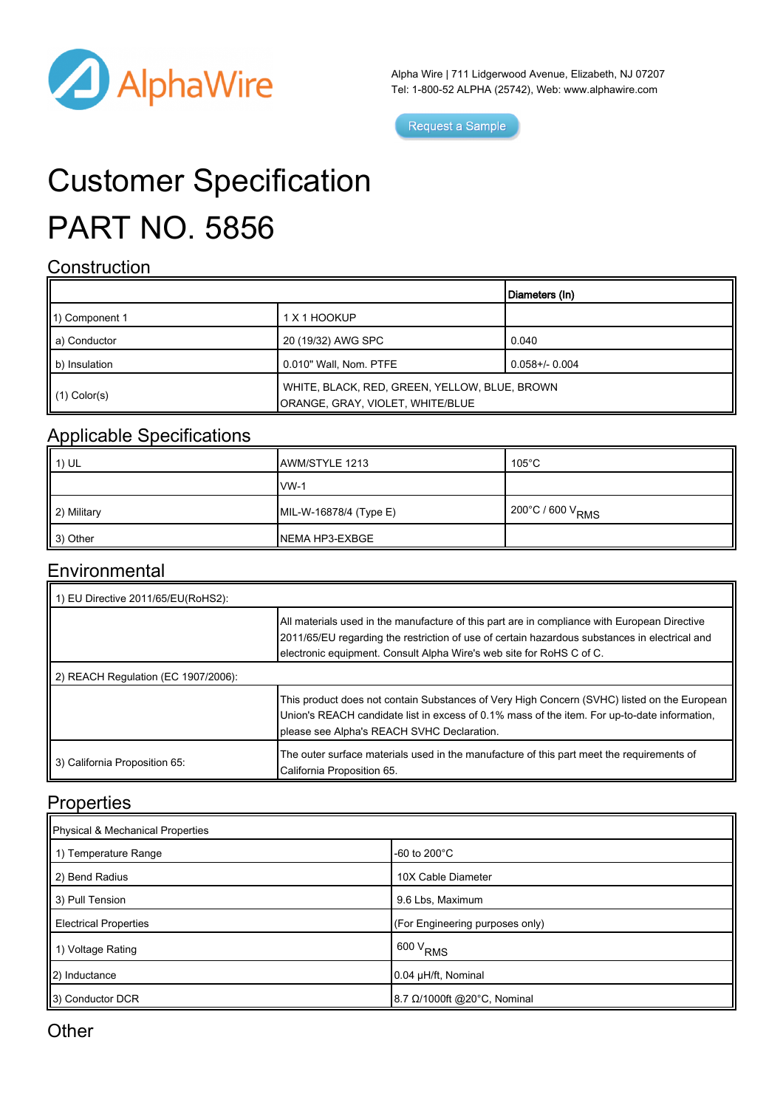

Alpha Wire | 711 Lidgerwood Avenue, Elizabeth, NJ 07207 Tel: 1-800-52 ALPHA (25742), Web: [www.alphawire.com](http://www.alphawire.com)

Request a Sample

# Customer Specification PART NO. 5856

#### **Construction**

|                          |                                                                                   | Diameters (In)      |
|--------------------------|-----------------------------------------------------------------------------------|---------------------|
| 11) Component 1          | 1 X 1 HOOKUP                                                                      |                     |
| ll a) Conductor          | 20 (19/32) AWG SPC                                                                | 0.040               |
| b) Insulation            | 0.010" Wall, Nom. PTFE                                                            | $0.058 + / - 0.004$ |
| $\parallel$ (1) Color(s) | WHITE, BLACK, RED, GREEN, YELLOW, BLUE, BROWN<br>ORANGE, GRAY, VIOLET, WHITE/BLUE |                     |

### Applicable Specifications

| II 1) UL    | AWM/STYLE 1213         | 105°C                        |
|-------------|------------------------|------------------------------|
|             | $IVM-1$                |                              |
| 2) Military | MIL-W-16878/4 (Type E) | 200°C / 600 V <sub>RMS</sub> |
| Ⅱ 3) Other  | NEMA HP3-EXBGE         |                              |

#### **Environmental**

| 1) EU Directive 2011/65/EU(RoHS2):  |                                                                                                                                                                                                                                                                       |  |
|-------------------------------------|-----------------------------------------------------------------------------------------------------------------------------------------------------------------------------------------------------------------------------------------------------------------------|--|
|                                     | All materials used in the manufacture of this part are in compliance with European Directive<br>2011/65/EU regarding the restriction of use of certain hazardous substances in electrical and<br>electronic equipment. Consult Alpha Wire's web site for RoHS C of C. |  |
| 2) REACH Regulation (EC 1907/2006): |                                                                                                                                                                                                                                                                       |  |
|                                     | This product does not contain Substances of Very High Concern (SVHC) listed on the European<br>Union's REACH candidate list in excess of 0.1% mass of the item. For up-to-date information,<br>please see Alpha's REACH SVHC Declaration.                             |  |
| 3) California Proposition 65:       | The outer surface materials used in the manufacture of this part meet the requirements of<br>California Proposition 65.                                                                                                                                               |  |

#### **Properties**

| Physical & Mechanical Properties |                                     |  |
|----------------------------------|-------------------------------------|--|
| 1 1) Temperature Range           | -60 to 200 $^{\circ}$ C             |  |
| 2) Bend Radius                   | 10X Cable Diameter                  |  |
| 3) Pull Tension                  | 9.6 Lbs, Maximum                    |  |
| <b>Electrical Properties</b>     | (For Engineering purposes only)     |  |
| 1) Voltage Rating                | $1600 V_{RMS}$                      |  |
| 2) Inductance                    | 0.04 µH/ft, Nominal                 |  |
| 3) Conductor DCR                 | 8.7 $\Omega$ /1000ft @20°C, Nominal |  |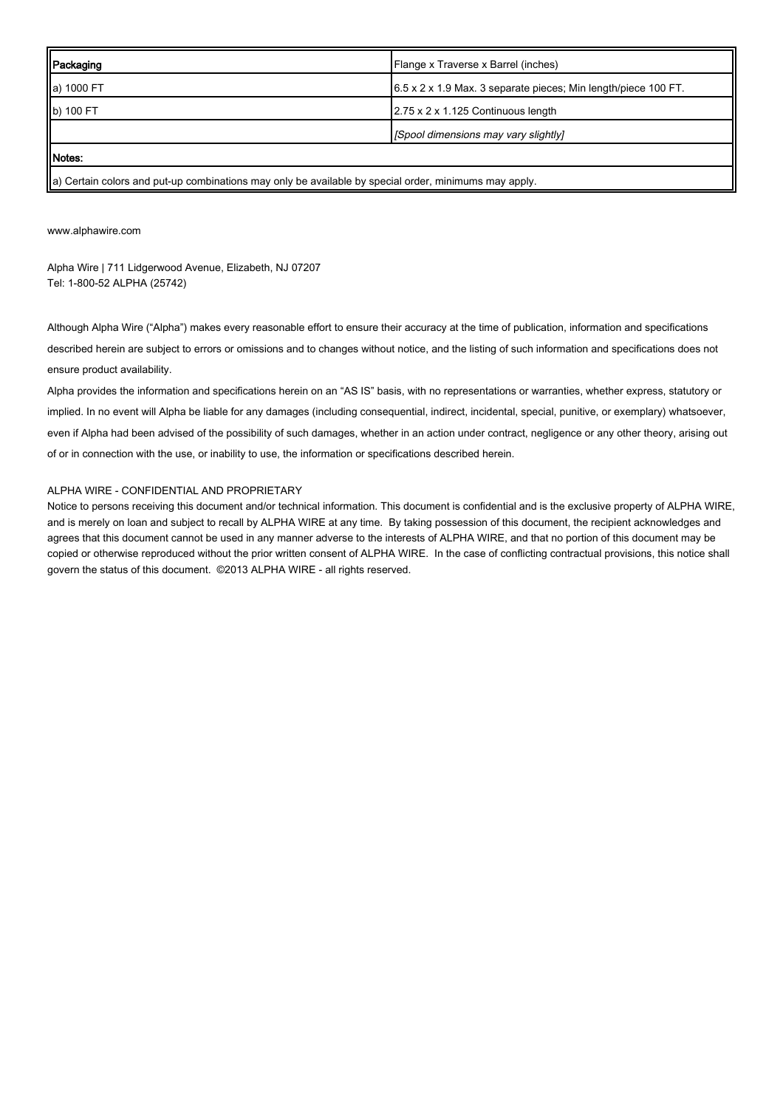| <b>Packaging</b>                                                                                      | Flange x Traverse x Barrel (inches)                                        |  |
|-------------------------------------------------------------------------------------------------------|----------------------------------------------------------------------------|--|
| a) 1000 FT                                                                                            | $6.5 \times 2 \times 1.9$ Max. 3 separate pieces; Min length/piece 100 FT. |  |
| b) 100 FT                                                                                             | 2.75 x 2 x 1.125 Continuous length                                         |  |
|                                                                                                       | [Spool dimensions may vary slightly]                                       |  |
| Notes:                                                                                                |                                                                            |  |
| a) Certain colors and put-up combinations may only be available by special order, minimums may apply. |                                                                            |  |

[www.alphawire.com](http://www.alphawire.com)

Alpha Wire | 711 Lidgerwood Avenue, Elizabeth, NJ 07207 Tel: 1-800-52 ALPHA (25742)

Although Alpha Wire ("Alpha") makes every reasonable effort to ensure their accuracy at the time of publication, information and specifications described herein are subject to errors or omissions and to changes without notice, and the listing of such information and specifications does not ensure product availability.

Alpha provides the information and specifications herein on an "AS IS" basis, with no representations or warranties, whether express, statutory or implied. In no event will Alpha be liable for any damages (including consequential, indirect, incidental, special, punitive, or exemplary) whatsoever, even if Alpha had been advised of the possibility of such damages, whether in an action under contract, negligence or any other theory, arising out of or in connection with the use, or inability to use, the information or specifications described herein.

#### ALPHA WIRE - CONFIDENTIAL AND PROPRIETARY

Notice to persons receiving this document and/or technical information. This document is confidential and is the exclusive property of ALPHA WIRE, and is merely on loan and subject to recall by ALPHA WIRE at any time. By taking possession of this document, the recipient acknowledges and agrees that this document cannot be used in any manner adverse to the interests of ALPHA WIRE, and that no portion of this document may be copied or otherwise reproduced without the prior written consent of ALPHA WIRE. In the case of conflicting contractual provisions, this notice shall govern the status of this document. ©2013 ALPHA WIRE - all rights reserved.